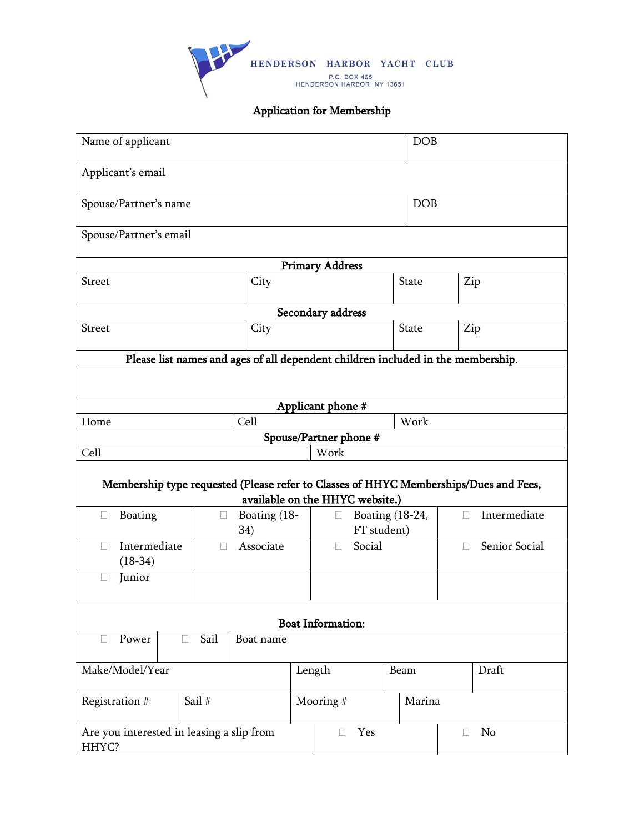

## Application for Membership

| Name of applicant                                                                     |        |              |             | <b>DOB</b>                      |            |              |        |               |
|---------------------------------------------------------------------------------------|--------|--------------|-------------|---------------------------------|------------|--------------|--------|---------------|
| Applicant's email                                                                     |        |              |             |                                 |            |              |        |               |
| Spouse/Partner's name                                                                 |        |              |             |                                 | <b>DOB</b> |              |        |               |
| Spouse/Partner's email                                                                |        |              |             |                                 |            |              |        |               |
|                                                                                       |        |              |             | <b>Primary Address</b>          |            |              |        |               |
| <b>Street</b>                                                                         |        | City         |             |                                 |            | <b>State</b> |        | Zip           |
|                                                                                       |        |              |             | Secondary address               |            |              |        |               |
| <b>Street</b><br>City                                                                 |        |              |             |                                 | State      |              | Zip    |               |
| Please list names and ages of all dependent children included in the membership.      |        |              |             |                                 |            |              |        |               |
|                                                                                       |        |              |             |                                 |            |              |        |               |
|                                                                                       |        |              |             |                                 |            |              |        |               |
| Applicant phone #                                                                     |        |              |             |                                 |            |              |        |               |
| Home                                                                                  |        | Cell         |             |                                 |            | Work         |        |               |
| Cell                                                                                  |        |              |             | Spouse/Partner phone #<br>Work  |            |              |        |               |
|                                                                                       |        |              |             |                                 |            |              |        |               |
| Membership type requested (Please refer to Classes of HHYC Memberships/Dues and Fees, |        |              |             | available on the HHYC website.) |            |              |        |               |
| Boating<br>П                                                                          | $\Box$ | Boating (18- |             | Boating (18-24,<br>$\Box$       |            |              | П      | Intermediate  |
| 34)                                                                                   |        |              | FT student) |                                 |            |              |        |               |
| Intermediate<br>П<br>$(18-34)$                                                        | П      | Associate    |             | Social<br>П                     |            |              | П      | Senior Social |
| Junior<br>П                                                                           |        |              |             |                                 |            |              |        |               |
|                                                                                       |        |              |             | <b>Boat Information:</b>        |            |              |        |               |
| Power<br>$\Box$<br>$\Box$                                                             | Sail   | Boat name    |             |                                 |            |              |        |               |
| Make/Model/Year                                                                       |        |              |             | Length<br>Beam                  |            |              |        | Draft         |
| Registration #<br>Sail #                                                              |        |              |             | Mooring #                       |            | Marina       |        |               |
| Are you interested in leasing a slip from<br>HHYC?                                    |        |              |             | Yes<br>$\Box$                   |            |              | $\Box$ | No            |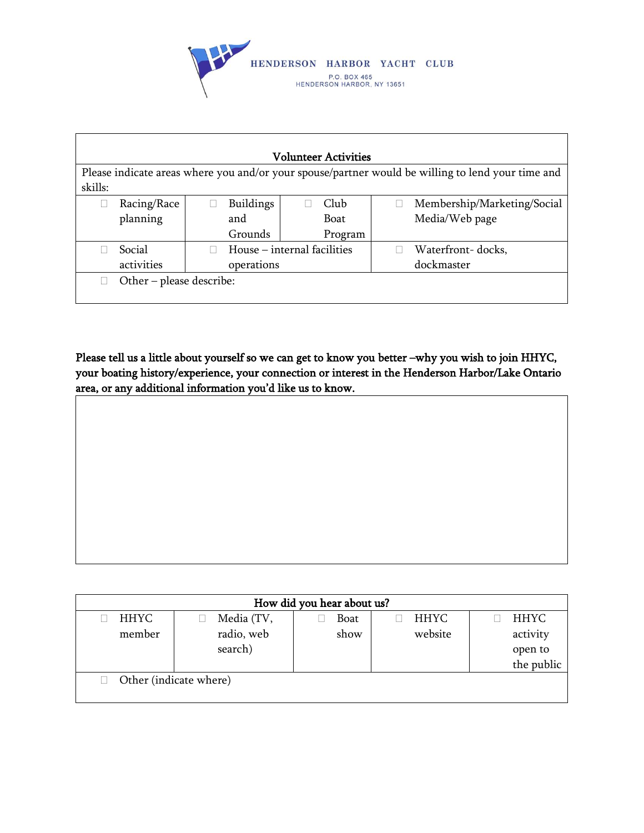

| <b>Volunteer Activities</b>                                                                       |                          |            |                             |         |  |                             |  |
|---------------------------------------------------------------------------------------------------|--------------------------|------------|-----------------------------|---------|--|-----------------------------|--|
| Please indicate areas where you and/or your spouse/partner would be willing to lend your time and |                          |            |                             |         |  |                             |  |
| skills:                                                                                           |                          |            |                             |         |  |                             |  |
|                                                                                                   | Racing/Race              |            | <b>Buildings</b>            | Club    |  | Membership/Marketing/Social |  |
|                                                                                                   | planning                 |            | and                         | Boat    |  | Media/Web page              |  |
|                                                                                                   |                          |            | Grounds                     | Program |  |                             |  |
|                                                                                                   | Social                   |            | House – internal facilities |         |  | Waterfront-docks,           |  |
|                                                                                                   | activities               | operations |                             |         |  | dockmaster                  |  |
|                                                                                                   | Other - please describe: |            |                             |         |  |                             |  |
|                                                                                                   |                          |            |                             |         |  |                             |  |

Please tell us a little about yourself so we can get to know you better –why you wish to join HHYC, your boating history/experience, your connection or interest in the Henderson Harbor/Lake Ontario area, or any additional information you'd like us to know.

| How did you hear about us? |                        |      |             |             |  |  |  |
|----------------------------|------------------------|------|-------------|-------------|--|--|--|
| <b>HHYC</b>                | Media (TV,             | Boat | <b>HHYC</b> | <b>HHYC</b> |  |  |  |
| member                     | radio, web             | show | website     | activity    |  |  |  |
|                            | search)                |      |             | open to     |  |  |  |
|                            |                        |      |             | the public  |  |  |  |
|                            | Other (indicate where) |      |             |             |  |  |  |
|                            |                        |      |             |             |  |  |  |